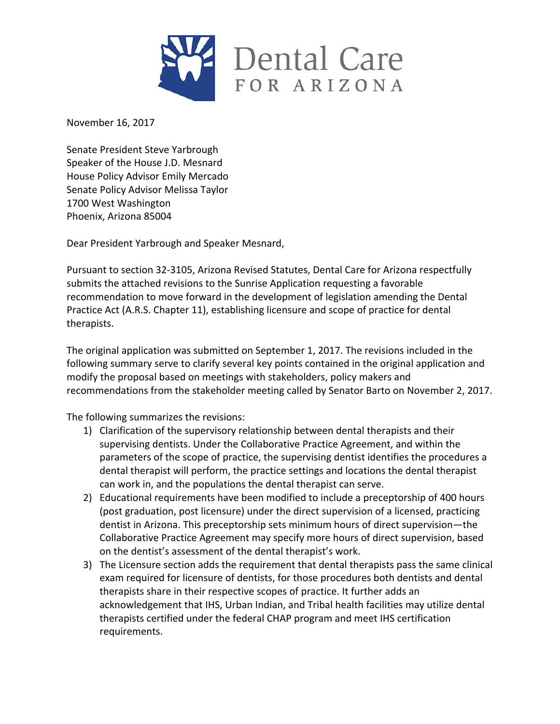

November 16, 2017

Senate President Steve Yarbrough Speaker of the House J.D. Mesnard House Policy Advisor Emily Mercado Senate Policy Advisor Melissa Taylor 1700 West Washington Phoenix, Arizona 85004

Dear President Yarbrough and Speaker Mesnard,

Pursuant to section 32-3105, Arizona Revised Statutes, Dental Care for Arizona respectfully submits the attached revisions to the Sunrise Application requesting a favorable recommendation to move forward in the development of legislation amending the Dental Practice Act (A.R.S. Chapter 11), establishing licensure and scope of practice for dental therapists. 

The original application was submitted on September 1, 2017. The revisions included in the following summary serve to clarify several key points contained in the original application and modify the proposal based on meetings with stakeholders, policy makers and recommendations from the stakeholder meeting called by Senator Barto on November 2, 2017.

The following summarizes the revisions:

- 1) Clarification of the supervisory relationship between dental therapists and their supervising dentists. Under the Collaborative Practice Agreement, and within the parameters of the scope of practice, the supervising dentist identifies the procedures a dental therapist will perform, the practice settings and locations the dental therapist can work in, and the populations the dental therapist can serve.
- 2) Educational requirements have been modified to include a preceptorship of 400 hours (post graduation, post licensure) under the direct supervision of a licensed, practicing dentist in Arizona. This preceptorship sets minimum hours of direct supervision—the Collaborative Practice Agreement may specify more hours of direct supervision, based on the dentist's assessment of the dental therapist's work.
- 3) The Licensure section adds the requirement that dental therapists pass the same clinical exam required for licensure of dentists, for those procedures both dentists and dental therapists share in their respective scopes of practice. It further adds an acknowledgement that IHS, Urban Indian, and Tribal health facilities may utilize dental therapists certified under the federal CHAP program and meet IHS certification requirements.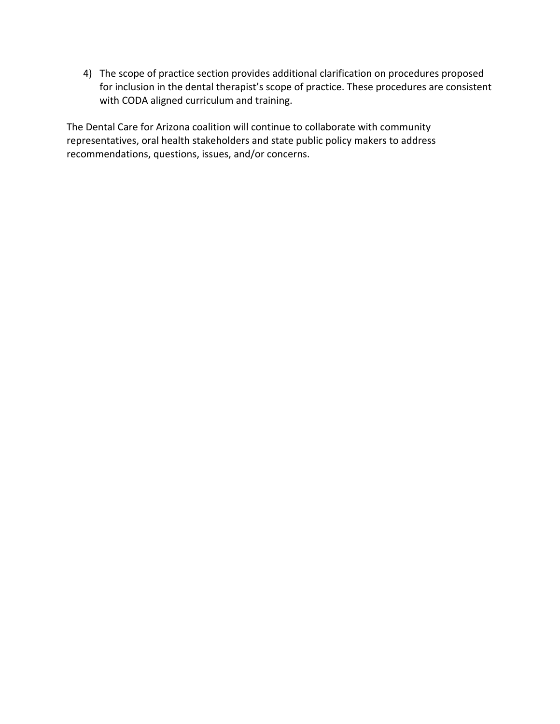4) The scope of practice section provides additional clarification on procedures proposed for inclusion in the dental therapist's scope of practice. These procedures are consistent with CODA aligned curriculum and training.

The Dental Care for Arizona coalition will continue to collaborate with community representatives, oral health stakeholders and state public policy makers to address recommendations, questions, issues, and/or concerns.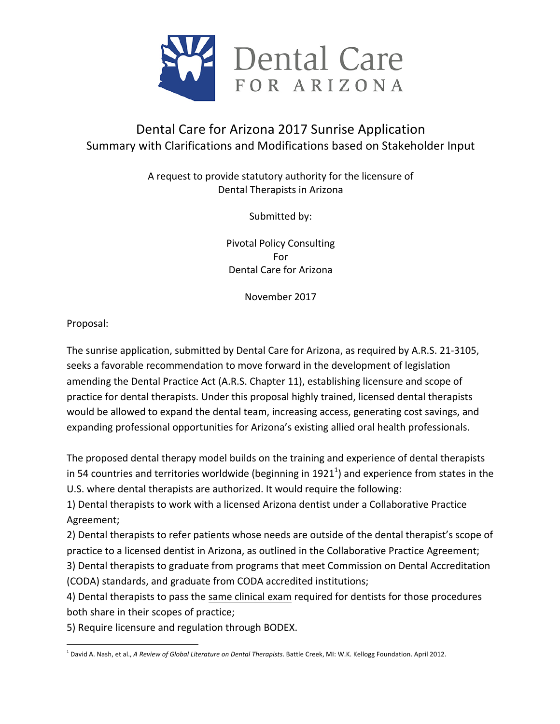

# Dental Care for Arizona 2017 Sunrise Application Summary with Clarifications and Modifications based on Stakeholder Input

A request to provide statutory authority for the licensure of Dental Therapists in Arizona

Submitted by:

Pivotal Policy Consulting For Dental Care for Arizona

November 2017

Proposal:

The sunrise application, submitted by Dental Care for Arizona, as required by A.R.S. 21-3105, seeks a favorable recommendation to move forward in the development of legislation amending the Dental Practice Act (A.R.S. Chapter 11), establishing licensure and scope of practice for dental therapists. Under this proposal highly trained, licensed dental therapists would be allowed to expand the dental team, increasing access, generating cost savings, and expanding professional opportunities for Arizona's existing allied oral health professionals.

The proposed dental therapy model builds on the training and experience of dental therapists in 54 countries and territories worldwide (beginning in 1921 $^1$ ) and experience from states in the U.S. where dental therapists are authorized. It would require the following:

1) Dental therapists to work with a licensed Arizona dentist under a Collaborative Practice Agreement; 

2) Dental therapists to refer patients whose needs are outside of the dental therapist's scope of practice to a licensed dentist in Arizona, as outlined in the Collaborative Practice Agreement;

3) Dental therapists to graduate from programs that meet Commission on Dental Accreditation (CODA) standards, and graduate from CODA accredited institutions;

4) Dental therapists to pass the same clinical exam required for dentists for those procedures both share in their scopes of practice;

5) Require licensure and regulation through BODEX.

 <sup>1</sup> David A. Nash, et al., *A Review of Global Literature on Dental Therapists*. Battle Creek, MI: W.K. Kellogg Foundation. April 2012.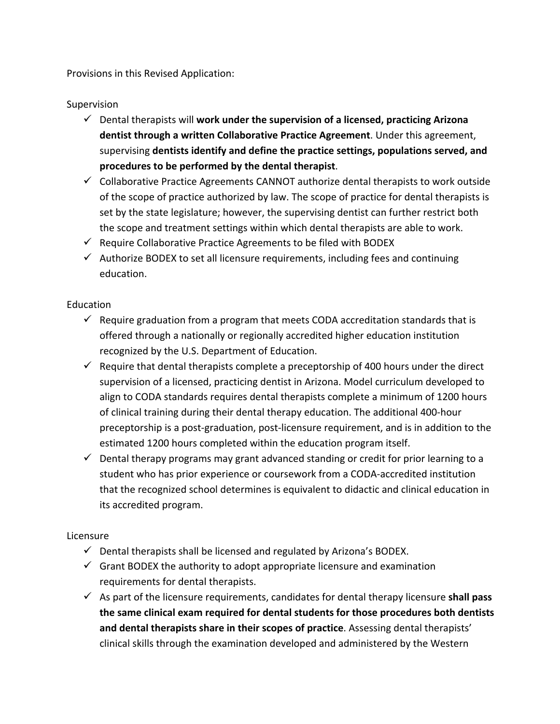Provisions in this Revised Application:

#### Supervision

- $\checkmark$  Dental therapists will work under the supervision of a licensed, practicing Arizona dentist through a written Collaborative Practice Agreement. Under this agreement, supervising dentists identify and define the practice settings, populations served, and procedures to be performed by the dental therapist.
- $\checkmark$  Collaborative Practice Agreements CANNOT authorize dental therapists to work outside of the scope of practice authorized by law. The scope of practice for dental therapists is set by the state legislature; however, the supervising dentist can further restrict both the scope and treatment settings within which dental therapists are able to work.
- $\checkmark$  Require Collaborative Practice Agreements to be filed with BODEX
- $\checkmark$  Authorize BODEX to set all licensure requirements, including fees and continuing education.

#### Education

- $\checkmark$  Require graduation from a program that meets CODA accreditation standards that is offered through a nationally or regionally accredited higher education institution recognized by the U.S. Department of Education.
- $\checkmark$  Require that dental therapists complete a preceptorship of 400 hours under the direct supervision of a licensed, practicing dentist in Arizona. Model curriculum developed to align to CODA standards requires dental therapists complete a minimum of 1200 hours of clinical training during their dental therapy education. The additional 400-hour preceptorship is a post-graduation, post-licensure requirement, and is in addition to the estimated 1200 hours completed within the education program itself.
- $\checkmark$  Dental therapy programs may grant advanced standing or credit for prior learning to a student who has prior experience or coursework from a CODA-accredited institution that the recognized school determines is equivalent to didactic and clinical education in its accredited program.

### Licensure

- $\checkmark$  Dental therapists shall be licensed and regulated by Arizona's BODEX.
- $\checkmark$  Grant BODEX the authority to adopt appropriate licensure and examination requirements for dental therapists.
- $\checkmark$  As part of the licensure requirements, candidates for dental therapy licensure **shall pass** the same clinical exam required for dental students for those procedures both dentists and dental therapists share in their scopes of practice. Assessing dental therapists' clinical skills through the examination developed and administered by the Western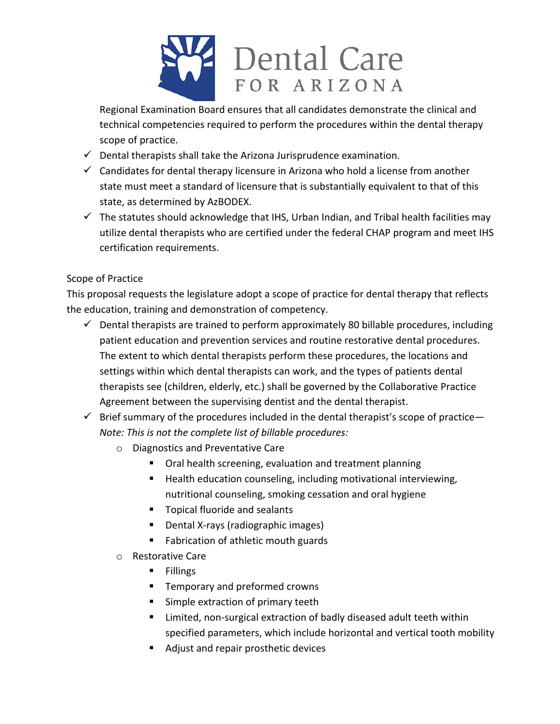

Regional Examination Board ensures that all candidates demonstrate the clinical and technical competencies required to perform the procedures within the dental therapy scope of practice.

- $\checkmark$  Dental therapists shall take the Arizona Jurisprudence examination.
- $\checkmark$  Candidates for dental therapy licensure in Arizona who hold a license from another state must meet a standard of licensure that is substantially equivalent to that of this state, as determined by AzBODEX.
- $\checkmark$  The statutes should acknowledge that IHS, Urban Indian, and Tribal health facilities may utilize dental therapists who are certified under the federal CHAP program and meet IHS certification requirements.

## Scope of Practice

This proposal requests the legislature adopt a scope of practice for dental therapy that reflects the education, training and demonstration of competency.

- $\checkmark$  Dental therapists are trained to perform approximately 80 billable procedures, including patient education and prevention services and routine restorative dental procedures. The extent to which dental therapists perform these procedures, the locations and settings within which dental therapists can work, and the types of patients dental therapists see (children, elderly, etc.) shall be governed by the Collaborative Practice Agreement between the supervising dentist and the dental therapist.
- $\checkmark$  Brief summary of the procedures included in the dental therapist's scope of practice— *Note: This is not the complete list of billable procedures:* 
	- $\circ$  Diagnostics and Preventative Care
		- Oral health screening, evaluation and treatment planning
		- Health education counseling, including motivational interviewing, nutritional counseling, smoking cessation and oral hygiene
		- **F** Topical fluoride and sealants
		- Dental X-rays (radiographic images)
		- Fabrication of athletic mouth guards
	- $\circ$  Restorative Care
		- § Fillings
		- Temporary and preformed crowns
		- Simple extraction of primary teeth
		- Limited, non-surgical extraction of badly diseased adult teeth within specified parameters, which include horizontal and vertical tooth mobility
		- Adjust and repair prosthetic devices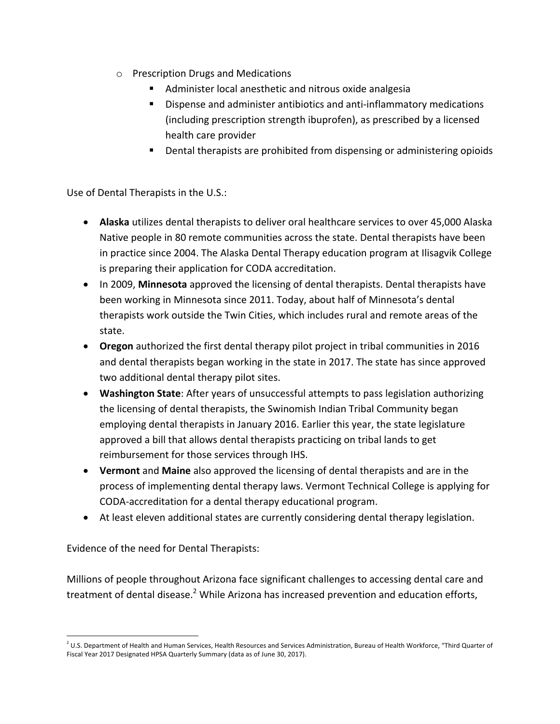- $\circ$  Prescription Drugs and Medications
	- Administer local anesthetic and nitrous oxide analgesia
	- Dispense and administer antibiotics and anti-inflammatory medications (including prescription strength ibuprofen), as prescribed by a licensed health care provider
	- **•** Dental therapists are prohibited from dispensing or administering opioids

Use of Dental Therapists in the U.S.:

- Alaska utilizes dental therapists to deliver oral healthcare services to over 45,000 Alaska Native people in 80 remote communities across the state. Dental therapists have been in practice since 2004. The Alaska Dental Therapy education program at Ilisagvik College is preparing their application for CODA accreditation.
- In 2009, Minnesota approved the licensing of dental therapists. Dental therapists have been working in Minnesota since 2011. Today, about half of Minnesota's dental therapists work outside the Twin Cities, which includes rural and remote areas of the state.
- Oregon authorized the first dental therapy pilot project in tribal communities in 2016 and dental therapists began working in the state in 2017. The state has since approved two additional dental therapy pilot sites.
- Washington State: After years of unsuccessful attempts to pass legislation authorizing the licensing of dental therapists, the Swinomish Indian Tribal Community began employing dental therapists in January 2016. Earlier this year, the state legislature approved a bill that allows dental therapists practicing on tribal lands to get reimbursement for those services through IHS.
- Vermont and Maine also approved the licensing of dental therapists and are in the process of implementing dental therapy laws. Vermont Technical College is applying for CODA-accreditation for a dental therapy educational program.
- At least eleven additional states are currently considering dental therapy legislation.

Evidence of the need for Dental Therapists:

Millions of people throughout Arizona face significant challenges to accessing dental care and treatment of dental disease.<sup>2</sup> While Arizona has increased prevention and education efforts,

  $<sup>2</sup>$  U.S. Department of Health and Human Services, Health Resources and Services Administration, Bureau of Health Workforce, "Third Quarter of</sup> Fiscal Year 2017 Designated HPSA Quarterly Summary (data as of June 30, 2017).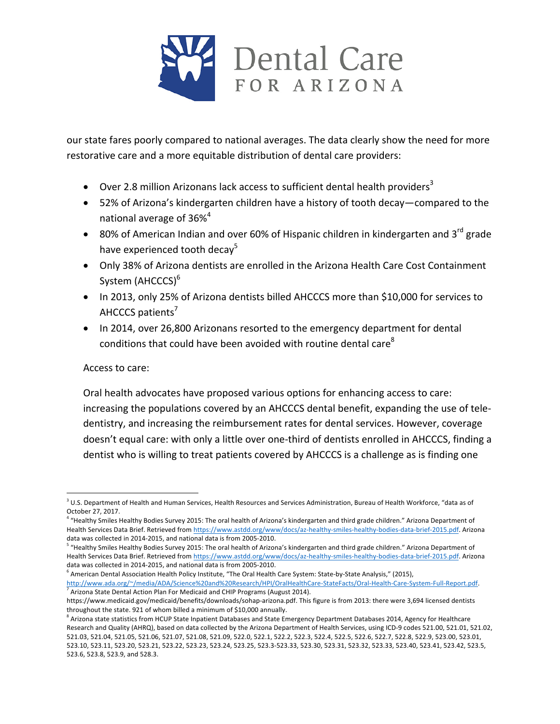

our state fares poorly compared to national averages. The data clearly show the need for more restorative care and a more equitable distribution of dental care providers:

- Over 2.8 million Arizonans lack access to sufficient dental health providers<sup>3</sup>
- 52% of Arizona's kindergarten children have a history of tooth decay—compared to the national average of  $36\%$ <sup>4</sup>
- 80% of American Indian and over 60% of Hispanic children in kindergarten and 3<sup>rd</sup> grade have experienced tooth decay<sup>5</sup>
- Only 38% of Arizona dentists are enrolled in the Arizona Health Care Cost Containment System (AHCCCS)<sup>6</sup>
- In 2013, only 25% of Arizona dentists billed AHCCCS more than \$10,000 for services to AHCCCS patients $<sup>7</sup>$ </sup>
- In 2014, over 26,800 Arizonans resorted to the emergency department for dental conditions that could have been avoided with routine dental care<sup>8</sup>

### Access to care:

 

Oral health advocates have proposed various options for enhancing access to care: increasing the populations covered by an AHCCCS dental benefit, expanding the use of teledentistry, and increasing the reimbursement rates for dental services. However, coverage doesn't equal care: with only a little over one-third of dentists enrolled in AHCCCS, finding a dentist who is willing to treat patients covered by AHCCCS is a challenge as is finding one

 $^3$  U.S. Department of Health and Human Services, Health Resources and Services Administration, Bureau of Health Workforce, "data as of October 27, 2017.

<sup>&</sup>quot;Healthy Smiles Healthy Bodies Survey 2015: The oral health of Arizona's kindergarten and third grade children." Arizona Department of Health Services Data Brief. Retrieved from https://www.astdd.org/www/docs/az-healthy-smiles-healthy-bodies-data-brief-2015.pdf. Arizona data was collected in 2014-2015, and national data is from 2005-2010.

 $^5$  "Healthy Smiles Healthy Bodies Survey 2015: The oral health of Arizona's kindergarten and third grade children." Arizona Department of Health Services Data Brief. Retrieved from https://www.astdd.org/www/docs/az-healthy-smiles-healthy-bodies-data-brief-2015.pdf. Arizona data was collected in 2014-2015, and national data is from 2005-2010.

 $^6$  American Dental Association Health Policy Institute, "The Oral Health Care System: State-by-State Analysis," (2015), http://www.ada.org/~/media/ADA/Science%20and%20Research/HPI/OralHealthCare-StateFacts/Oral-Health-Care-System-Full-Report.pdf.  $^7$  Arizona State Dental Action Plan For Medicaid and CHIP Programs (August 2014).

https://www.medicaid.gov/medicaid/benefits/downloads/sohap-arizona.pdf. This figure is from 2013: there were 3,694 licensed dentists throughout the state. 921 of whom billed a minimum of \$10,000 annually.

 $^8$  Arizona state statistics from HCUP State Inpatient Databases and State Emergency Department Databases 2014, Agency for Healthcare Research and Quality (AHRQ), based on data collected by the Arizona Department of Health Services, using ICD-9 codes 521.00, 521.01, 521.02, 521.03, 521.04, 521.05, 521.06, 521.07, 521.08, 521.09, 522.0, 522.1, 522.2, 522.3, 522.4, 522.5, 522.6, 522.7, 522.8, 522.9, 523.00, 523.01, 523.10, 523.11, 523.20, 523.21, 523.22, 523.23, 523.24, 523.25, 523.3-523.33, 523.30, 523.31, 523.32, 523.33, 523.40, 523.41, 523.42, 523.5, 523.6, 523.8, 523.9, and 528.3.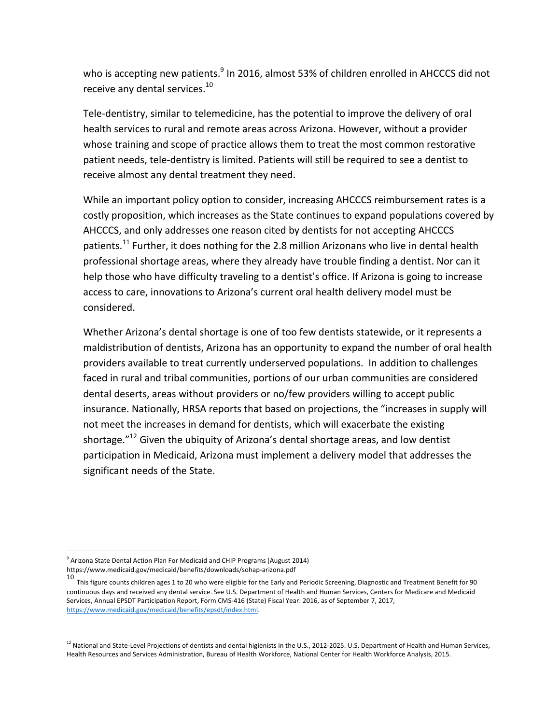who is accepting new patients.<sup>9</sup> In 2016, almost 53% of children enrolled in AHCCCS did not receive any dental services.<sup>10</sup>

Tele-dentistry, similar to telemedicine, has the potential to improve the delivery of oral health services to rural and remote areas across Arizona. However, without a provider whose training and scope of practice allows them to treat the most common restorative patient needs, tele-dentistry is limited. Patients will still be required to see a dentist to receive almost any dental treatment they need.

While an important policy option to consider, increasing AHCCCS reimbursement rates is a costly proposition, which increases as the State continues to expand populations covered by AHCCCS, and only addresses one reason cited by dentists for not accepting AHCCCS patients.<sup>11</sup> Further, it does nothing for the 2.8 million Arizonans who live in dental health professional shortage areas, where they already have trouble finding a dentist. Nor can it help those who have difficulty traveling to a dentist's office. If Arizona is going to increase access to care, innovations to Arizona's current oral health delivery model must be considered. 

Whether Arizona's dental shortage is one of too few dentists statewide, or it represents a maldistribution of dentists, Arizona has an opportunity to expand the number of oral health providers available to treat currently underserved populations. In addition to challenges faced in rural and tribal communities, portions of our urban communities are considered dental deserts, areas without providers or no/few providers willing to accept public insurance. Nationally, HRSA reports that based on projections, the "increases in supply will not meet the increases in demand for dentists, which will exacerbate the existing shortage." $^{12}$  Given the ubiquity of Arizona's dental shortage areas, and low dentist participation in Medicaid, Arizona must implement a delivery model that addresses the significant needs of the State.

  $9$  Arizona State Dental Action Plan For Medicaid and CHIP Programs (August 2014) https://www.medicaid.gov/medicaid/benefits/downloads/sohap-arizona.pdf

<sup>10&</sup>lt;br>This figure counts children ages 1 to 20 who were eligible for the Early and Periodic Screening, Diagnostic and Treatment Benefit for 90 continuous days and received any dental service. See U.S. Department of Health and Human Services, Centers for Medicare and Medicaid Services, Annual EPSDT Participation Report, Form CMS-416 (State) Fiscal Year: 2016, as of September 7, 2017, https://www.medicaid.gov/medicaid/benefits/epsdt/index.html. 

 $^{12}$  National and State-Level Projections of dentists and dental higienists in the U.S., 2012-2025. U.S. Department of Health and Human Services, Health Resources and Services Administration, Bureau of Health Workforce, National Center for Health Workforce Analysis, 2015.